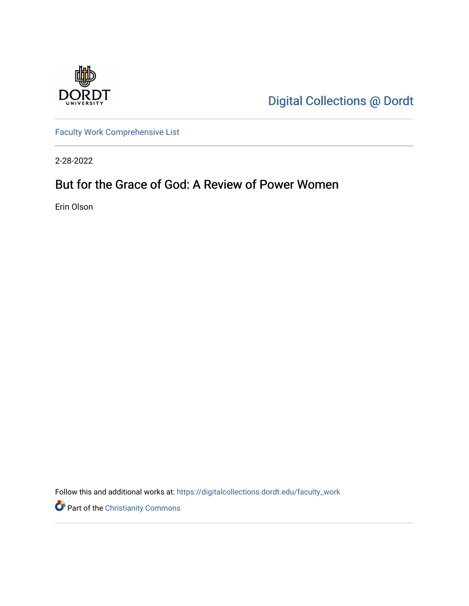

[Digital Collections @ Dordt](https://digitalcollections.dordt.edu/) 

[Faculty Work Comprehensive List](https://digitalcollections.dordt.edu/faculty_work)

2-28-2022

# But for the Grace of God: A Review of Power Women

Erin Olson

Follow this and additional works at: [https://digitalcollections.dordt.edu/faculty\\_work](https://digitalcollections.dordt.edu/faculty_work?utm_source=digitalcollections.dordt.edu%2Ffaculty_work%2F1377&utm_medium=PDF&utm_campaign=PDFCoverPages) 

Part of the [Christianity Commons](http://network.bepress.com/hgg/discipline/1181?utm_source=digitalcollections.dordt.edu%2Ffaculty_work%2F1377&utm_medium=PDF&utm_campaign=PDFCoverPages)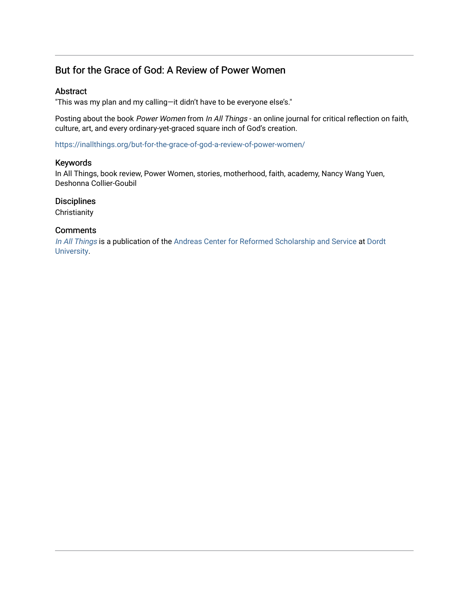## But for the Grace of God: A Review of Power Women

#### Abstract

"This was my plan and my calling—it didn't have to be everyone else's."

Posting about the book Power Women from In All Things - an online journal for critical reflection on faith, culture, art, and every ordinary-yet-graced square inch of God's creation.

<https://inallthings.org/but-for-the-grace-of-god-a-review-of-power-women/>

#### Keywords

In All Things, book review, Power Women, stories, motherhood, faith, academy, Nancy Wang Yuen, Deshonna Collier-Goubil

#### **Disciplines**

**Christianity** 

#### **Comments**

[In All Things](http://inallthings.org/) is a publication of the [Andreas Center for Reformed Scholarship and Service](http://www.dordt.edu/services_support/andreas_center/) at Dordt [University](http://www.dordt.edu/).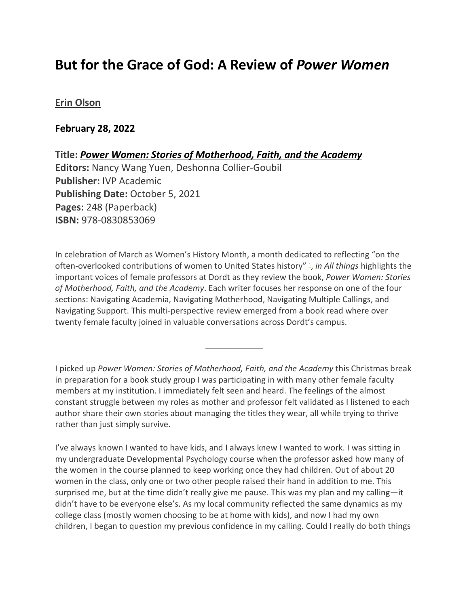# **But for the Grace of God: A Review of** *Power Women*

### **[Erin Olson](https://inallthings.org/author/erin-olson/)**

### **February 28, 2022**

**Title:** *Power Women: Stories of Motherhood, Faith, and the Academy* **Editors:** Nancy Wang Yuen, Deshonna Collier-Goubil **Publisher:** IVP Academic **Publishing Date:** October 5, 2021 **Pages:** 248 (Paperback) **ISBN:** 978-0830853069

In celebration of March as Women's History Month, a month dedicated to reflecting "on the often-overlooked contributions of women to United States history" [1,](https://inallthings.org/but-for-the-grace-of-god-a-review-of-power-women/#fn1-22238) *in All things* highlights the important voices of female professors at Dordt as they review the book, *Power Women: Stories of Motherhood, Faith, and the Academy*. Each writer focuses her response on one of the four sections: Navigating Academia, Navigating Motherhood, Navigating Multiple Callings, and Navigating Support. This multi-perspective review emerged from a book read where over twenty female faculty joined in valuable conversations across Dordt's campus.

I picked up *Power Women: Stories of Motherhood, Faith, and the Academy* this Christmas break in preparation for a book study group I was participating in with many other female faculty members at my institution. I immediately felt seen and heard. The feelings of the almost constant struggle between my roles as mother and professor felt validated as I listened to each author share their own stories about managing the titles they wear, all while trying to thrive rather than just simply survive.

I've always known I wanted to have kids, and I always knew I wanted to work. I was sitting in my undergraduate Developmental Psychology course when the professor asked how many of the women in the course planned to keep working once they had children. Out of about 20 women in the class, only one or two other people raised their hand in addition to me. This surprised me, but at the time didn't really give me pause. This was my plan and my calling—it didn't have to be everyone else's. As my local community reflected the same dynamics as my college class (mostly women choosing to be at home with kids), and now I had my own children, I began to question my previous confidence in my calling. Could I really do both things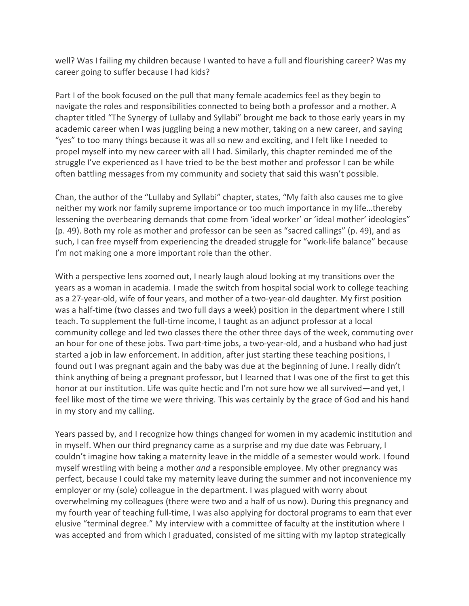well? Was I failing my children because I wanted to have a full and flourishing career? Was my career going to suffer because I had kids?

Part I of the book focused on the pull that many female academics feel as they begin to navigate the roles and responsibilities connected to being both a professor and a mother. A chapter titled "The Synergy of Lullaby and Syllabi" brought me back to those early years in my academic career when I was juggling being a new mother, taking on a new career, and saying "yes" to too many things because it was all so new and exciting, and I felt like I needed to propel myself into my new career with all I had. Similarly, this chapter reminded me of the struggle I've experienced as I have tried to be the best mother and professor I can be while often battling messages from my community and society that said this wasn't possible.

Chan, the author of the "Lullaby and Syllabi" chapter, states, "My faith also causes me to give neither my work nor family supreme importance or too much importance in my life…thereby lessening the overbearing demands that come from 'ideal worker' or 'ideal mother' ideologies" (p. 49). Both my role as mother and professor can be seen as "sacred callings" (p. 49), and as such, I can free myself from experiencing the dreaded struggle for "work-life balance" because I'm not making one a more important role than the other.

With a perspective lens zoomed out, I nearly laugh aloud looking at my transitions over the years as a woman in academia. I made the switch from hospital social work to college teaching as a 27-year-old, wife of four years, and mother of a two-year-old daughter. My first position was a half-time (two classes and two full days a week) position in the department where I still teach. To supplement the full-time income, I taught as an adjunct professor at a local community college and led two classes there the other three days of the week, commuting over an hour for one of these jobs. Two part-time jobs, a two-year-old, and a husband who had just started a job in law enforcement. In addition, after just starting these teaching positions, I found out I was pregnant again and the baby was due at the beginning of June. I really didn't think anything of being a pregnant professor, but I learned that I was one of the first to get this honor at our institution. Life was quite hectic and I'm not sure how we all survived—and yet, I feel like most of the time we were thriving. This was certainly by the grace of God and his hand in my story and my calling.

Years passed by, and I recognize how things changed for women in my academic institution and in myself. When our third pregnancy came as a surprise and my due date was February, I couldn't imagine how taking a maternity leave in the middle of a semester would work. I found myself wrestling with being a mother *and* a responsible employee. My other pregnancy was perfect, because I could take my maternity leave during the summer and not inconvenience my employer or my (sole) colleague in the department. I was plagued with worry about overwhelming my colleagues (there were two and a half of us now). During this pregnancy and my fourth year of teaching full-time, I was also applying for doctoral programs to earn that ever elusive "terminal degree." My interview with a committee of faculty at the institution where I was accepted and from which I graduated, consisted of me sitting with my laptop strategically